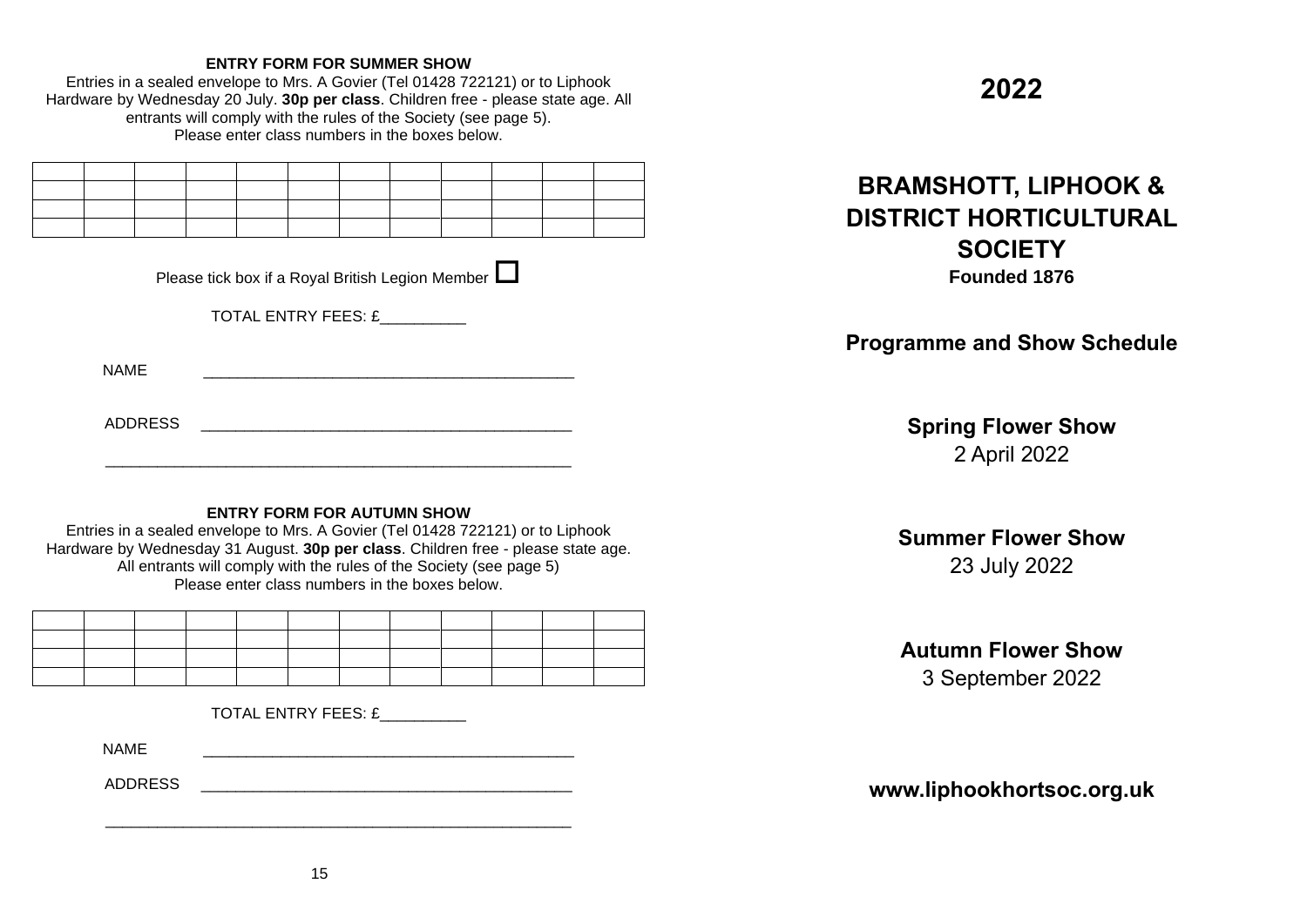## **ENTRY FORM FOR SUMMER SHOW**

Entries in a sealed envelope to Mrs. A Govier (Tel 01428 722121) or to Liphook Hardware by Wednesday 20 July. **30p per class**. Children free - please state age. All entrants will comply with the rules of the Society (see page 5). Please enter class numbers in the boxes below.

| <u> 1989 - Johann Stoff, deutscher Stoffen und der Stoffen und der Stoffen und der Stoffen und der Stoffen und der</u> |  |  |  |  |  |  |
|------------------------------------------------------------------------------------------------------------------------|--|--|--|--|--|--|
|                                                                                                                        |  |  |  |  |  |  |
| ______                                                                                                                 |  |  |  |  |  |  |
|                                                                                                                        |  |  |  |  |  |  |

| Please tick box if a Royal British Legion Member $\Box$ |  |
|---------------------------------------------------------|--|

TOTAL ENTRY FEES: £

 $NAME$ 

ADDRESS \_\_\_\_\_\_\_\_\_\_\_\_\_\_\_\_\_\_\_\_\_\_\_\_\_\_\_\_\_\_\_\_\_\_\_\_\_\_\_\_\_\_\_

# **ENTRY FORM FOR AUTUMN SHOW**

\_\_\_\_\_\_\_\_\_\_\_\_\_\_\_\_\_\_\_\_\_\_\_\_\_\_\_\_\_\_\_\_\_\_\_\_\_\_\_\_\_\_\_\_\_\_\_\_\_\_\_\_\_\_

Entries in a sealed envelope to Mrs. A Govier (Tel 01428 722121) or to Liphook Hardware by Wednesday 31 August. **30p per class**. Children free - please state age. All entrants will comply with the rules of the Society (see page 5) Please enter class numbers in the boxes below.

TOTAL ENTRY FEES: £\_\_\_\_\_\_\_\_\_\_

 $NAME$ 

ADDRESS \_\_\_\_\_\_\_\_\_\_\_\_\_\_\_\_\_\_\_\_\_\_\_\_\_\_\_\_\_\_\_\_\_\_\_\_\_\_\_\_\_\_\_

# **2022**

# **BRAMSHOTT, LIPHOOK & DISTRICT HORTICULTURAL SOCIETY Founded 1876**

**Programme and Show Schedule**

**Spring Flower Show** 2 April 2022

# **Summer Flower Show**

23 July 2022

# **Autumn Flower Show**

3 September 2022

**www.liphookhortsoc.org.uk**

\_\_\_\_\_\_\_\_\_\_\_\_\_\_\_\_\_\_\_\_\_\_\_\_\_\_\_\_\_\_\_\_\_\_\_\_\_\_\_\_\_\_\_\_\_\_\_\_\_\_\_\_\_\_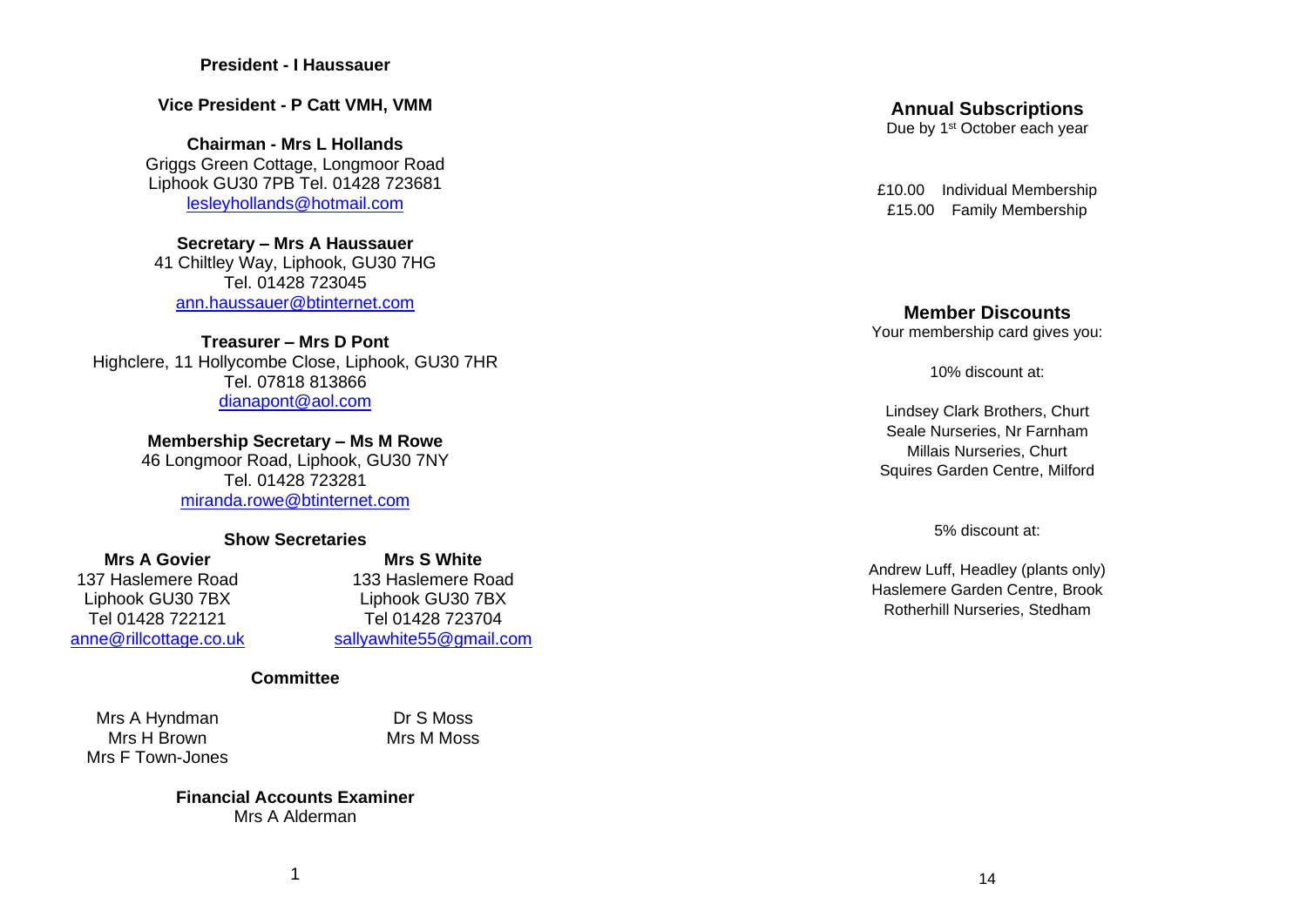#### **President - I Haussauer**

**Vice President - P Catt VMH, VMM**

**Chairman - Mrs L Hollands** Griggs Green Cottage, Longmoor Road Liphook GU30 7PB Tel. 01428 723681 [lesleyhollands@hotmail.com](about:blank)

**Secretary – Mrs A Haussauer** 41 Chiltley Way, Liphook, GU30 7HG Tel. 01428 723045 [ann.haussauer@btinternet.com](about:blank)

**Treasurer – Mrs D Pont** Highclere, 11 Hollycombe Close, Liphook, GU30 7HR Tel. 07818 813866 **GU30 7XE** [dianapont@aol.com](about:blank)

**Membership Secretary – Ms M Rowe**

46 Longmoor Road, Liphook, GU30 7NY Tel. 01428 723281 [miranda.rowe@btinternet.com](about:blank)

#### **Show Secretaries**

**Mrs A Govier**<br>137 Haslemere Road<br>133 Haslemere Road<br>133 Haslemere Road

**Show Secretaries** 137 Haslemere Road 133 Haslemere Road Liphook GU30 7BX Liphook GU30 7BX Tel 01428 722121 Tel 01428 723704 [anne@rillcottage.co.uk](about:blank) [sallyawhite55@gmail.com](about:blank)

#### **Committee**

Mrs A Hyndman Dr S Moss Mrs H Brown Mrs M Moss Mrs F Town-Jones

**Financial Accounts Examiner** Mrs A Alderman

# **Annual Subscriptions**

Due by 1<sup>st</sup> October each year

£10.00 Individual Membership £15.00 Family Membership

### **Member Discounts**

Your membership card gives you:

10% discount at:

Lindsey Clark Brothers, Churt Seale Nurseries, Nr Farnham Millais Nurseries, Churt Squires Garden Centre, Milford

5% discount at:

Andrew Luff, Headley (plants only) Haslemere Garden Centre, Brook Rotherhill Nurseries, Stedham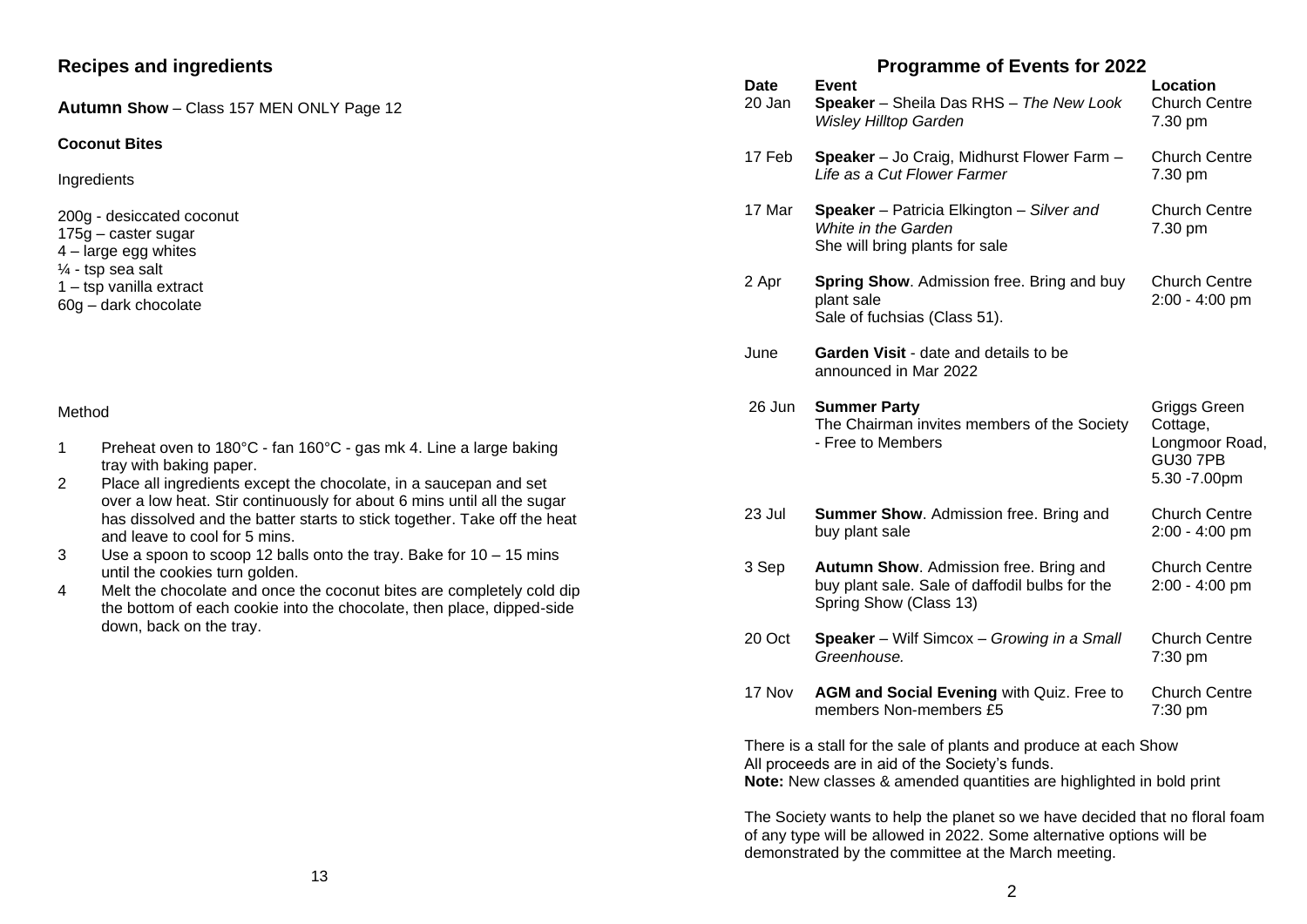# **Recipes and ingredients**

**Autumn Show** – Class 157 MEN ONLY Page 12

#### **Coconut Bites**

**Ingredients** 

200g - desiccated coconut

175g – caster sugar

4 – large egg whites

 $\frac{1}{4}$  - tsp sea salt

1 – tsp vanilla extract

60g – dark chocolate

#### Method

- 1 Preheat oven to 180°C fan 160°C gas mk 4. Line a large baking tray with baking paper.
- 2 Place all ingredients except the chocolate, in a saucepan and set over a low heat. Stir continuously for about 6 mins until all the sugar has dissolved and the batter starts to stick together. Take off the heat and leave to cool for 5 mins.
- 3 Use a spoon to scoop 12 balls onto the tray. Bake for 10 15 mins until the cookies turn golden.
- 4 Melt the chocolate and once the coconut bites are completely cold dip the bottom of each cookie into the chocolate, then place, dipped-side down, back on the tray.

# **Programme of Events for 2022**

| <b>Date</b><br>20 Jan                                                                                                                                                                       | <b>I</b> TUGIQUILITE OF EVERIS TOI ZUZZ<br>Event<br>Speaker - Sheila Das RHS - The New Look<br><b>Wisley Hilltop Garden</b> | Location<br><b>Church Centre</b><br>7.30 pm                                    |  |  |  |  |
|---------------------------------------------------------------------------------------------------------------------------------------------------------------------------------------------|-----------------------------------------------------------------------------------------------------------------------------|--------------------------------------------------------------------------------|--|--|--|--|
| 17 Feb                                                                                                                                                                                      | Speaker - Jo Craig, Midhurst Flower Farm -<br>Life as a Cut Flower Farmer                                                   | <b>Church Centre</b><br>7.30 pm                                                |  |  |  |  |
| 17 Mar                                                                                                                                                                                      | Speaker - Patricia Elkington - Silver and<br>White in the Garden<br>She will bring plants for sale                          | <b>Church Centre</b><br>7.30 pm                                                |  |  |  |  |
| 2 Apr                                                                                                                                                                                       | <b>Spring Show.</b> Admission free. Bring and buy<br>plant sale<br>Sale of fuchsias (Class 51).                             | <b>Church Centre</b><br>2:00 - 4:00 pm                                         |  |  |  |  |
| June                                                                                                                                                                                        | Garden Visit - date and details to be<br>announced in Mar 2022                                                              |                                                                                |  |  |  |  |
| 26 Jun                                                                                                                                                                                      | <b>Summer Party</b><br>The Chairman invites members of the Society<br>- Free to Members                                     | Griggs Green<br>Cottage,<br>Longmoor Road,<br><b>GU30 7PB</b><br>5.30 - 7.00pm |  |  |  |  |
| 23 Jul                                                                                                                                                                                      | Summer Show. Admission free. Bring and<br>buy plant sale                                                                    | <b>Church Centre</b><br>$2:00 - 4:00$ pm                                       |  |  |  |  |
| 3 Sep                                                                                                                                                                                       | Autumn Show. Admission free. Bring and<br>buy plant sale. Sale of daffodil bulbs for the<br>Spring Show (Class 13)          | <b>Church Centre</b><br>2:00 - 4:00 pm                                         |  |  |  |  |
| 20 Oct                                                                                                                                                                                      | Speaker - Wilf Simcox - Growing in a Small<br>Greenhouse.                                                                   | <b>Church Centre</b><br>7:30 pm                                                |  |  |  |  |
| 17 Nov                                                                                                                                                                                      | AGM and Social Evening with Quiz. Free to<br>members Non-members £5                                                         | <b>Church Centre</b><br>7:30 pm                                                |  |  |  |  |
| There is a stall for the sale of plants and produce at each Show<br>All proceeds are in aid of the Society's funds.<br>Note: New classes & amended quantities are highlighted in bold print |                                                                                                                             |                                                                                |  |  |  |  |

The Society wants to help the planet so we have decided that no floral foam of any type will be allowed in 2022. Some alternative options will be demonstrated by the committee at the March meeting.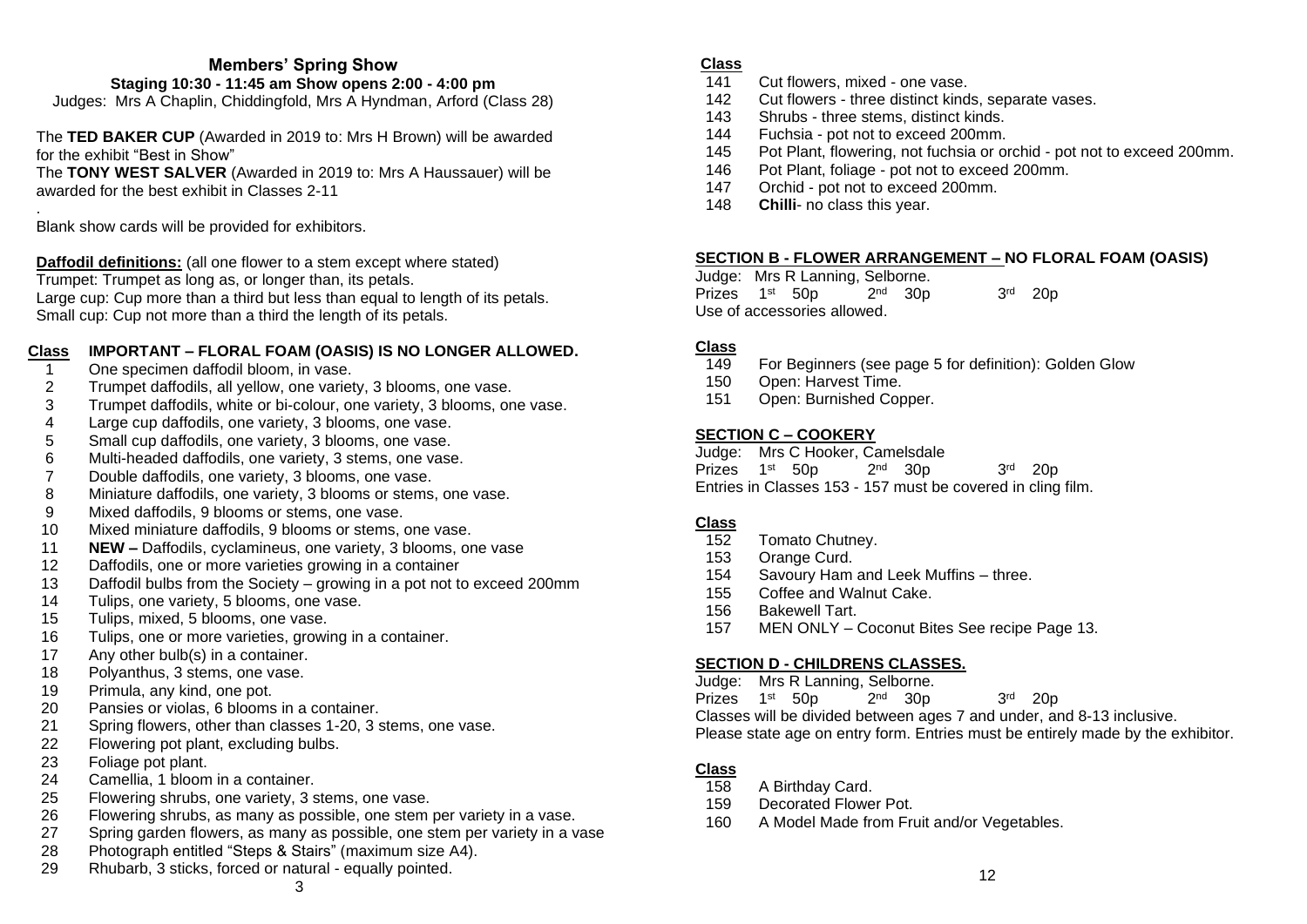# **Members' Spring Show**

# **Staging 10:30 - 11:45 am Show opens 2:00 - 4:00 pm**

Judges: Mrs A Chaplin, Chiddingfold, Mrs A Hyndman, Arford (Class 28)

The **TED BAKER CUP** (Awarded in 2019 to: Mrs H Brown) will be awarded for the exhibit "Best in Show" The **TONY WEST SALVER** (Awarded in 2019 to: Mrs A Haussauer) will be

awarded for the best exhibit in Classes 2-11

. Blank show cards will be provided for exhibitors.

**Daffodil definitions:** (all one flower to a stem except where stated) Trumpet: Trumpet as long as, or longer than, its petals. Large cup: Cup more than a third but less than equal to length of its petals. Small cup: Cup not more than a third the length of its petals.

# **Class IMPORTANT – FLORAL FOAM (OASIS) IS NO LONGER ALLOWED.**

- 1 One specimen daffodil bloom, in vase.<br>2 Trumpet daffodils, all vellow, one variet
- 2 Trumpet daffodils, all yellow, one variety, 3 blooms, one vase.
- 3 Trumpet daffodils, white or bi-colour, one variety, 3 blooms, one vase.
- 4 Large cup daffodils, one variety, 3 blooms, one vase.
- 5 Small cup daffodils, one variety, 3 blooms, one vase.
- 6 Multi-headed daffodils, one variety, 3 stems, one vase.
- 7 Double daffodils, one variety, 3 blooms, one vase.
- 8 Miniature daffodils, one variety, 3 blooms or stems, one vase.
- 9 Mixed daffodils, 9 blooms or stems, one vase.
- 10 Mixed miniature daffodils, 9 blooms or stems, one vase.
- 11 **NEW –** Daffodils, cyclamineus, one variety, 3 blooms, one vase
- 12 Daffodils, one or more varieties growing in a container
- 13 Daffodil bulbs from the Society growing in a pot not to exceed 200mm
- 14 Tulips, one variety, 5 blooms, one vase.
- 15 Tulips, mixed, 5 blooms, one vase.
- 16 Tulips, one or more varieties, growing in a container.
- 17 Any other bulb(s) in a container.
- 18 Polyanthus, 3 stems, one vase.
- 19 Primula, any kind, one pot.
- 20 Pansies or violas, 6 blooms in a container.
- 21 Spring flowers, other than classes 1-20, 3 stems, one vase.
- 22 Flowering pot plant, excluding bulbs.
- 23 Foliage pot plant.
- 24 Camellia, 1 bloom in a container.
- 25 Flowering shrubs, one variety, 3 stems, one vase.
- 26 Flowering shrubs, as many as possible, one stem per variety in a vase.
- 27 Spring garden flowers, as many as possible, one stem per variety in a vase
- 28 Photograph entitled "Steps & Stairs" (maximum size A4).
- 29 Rhubarb, 3 sticks, forced or natural equally pointed.

# **Class**

- 141 Cut flowers, mixed one vase.
- 142 Cut flowers three distinct kinds, separate vases.
- 143 Shrubs three stems, distinct kinds.
- 144 Fuchsia pot not to exceed 200mm.
- 145 Pot Plant, flowering, not fuchsia or orchid pot not to exceed 200mm.
- 146 Pot Plant, foliage pot not to exceed 200mm.
- 147 Orchid pot not to exceed 200mm.
- 148 **Chilli** no class this year.

## **SECTION B - FLOWER ARRANGEMENT – NO FLORAL FOAM (OASIS)**

Judge: Mrs R Lanning, Selborne. Prizes 1st 50p 2 <sup>nd</sup> 30p 3 rd 20p Use of accessories allowed.

# **Class**

- 149 For Beginners (see page 5 for definition): Golden Glow
- 150 Open: Harvest Time.
- 151 Open: Burnished Copper.

# **SECTION C – COOKERY**

Judge: Mrs C Hooker, Camelsdale

| Prizes 1 <sup>st</sup> 50p |  |  | $2nd$ 30p |                                                             | $3rd$ 20p |  |
|----------------------------|--|--|-----------|-------------------------------------------------------------|-----------|--|
|                            |  |  |           | Entries in Classes 153 - 157 must be covered in cling film. |           |  |

# **Class**

- 152 Tomato Chutney.
- 153 Orange Curd.
- 154 Savoury Ham and Leek Muffins three.
- 155 Coffee and Walnut Cake.
- 156 Bakewell Tart.
- 157 MEN ONLY Coconut Bites See recipe Page 13.

# **SECTION D - CHILDRENS CLASSES.**

- Judge: Mrs R Lanning, Selborne.
- Prizes 1st 50p 2 <sup>nd</sup> 30p 3 rd 20p
- Classes will be divided between ages 7 and under, and 8-13 inclusive. Please state age on entry form. Entries must be entirely made by the exhibitor.

# **Class**

- 158 A Birthday Card.
- 159 Decorated Flower Pot.
- 160 A Model Made from Fruit and/or Vegetables.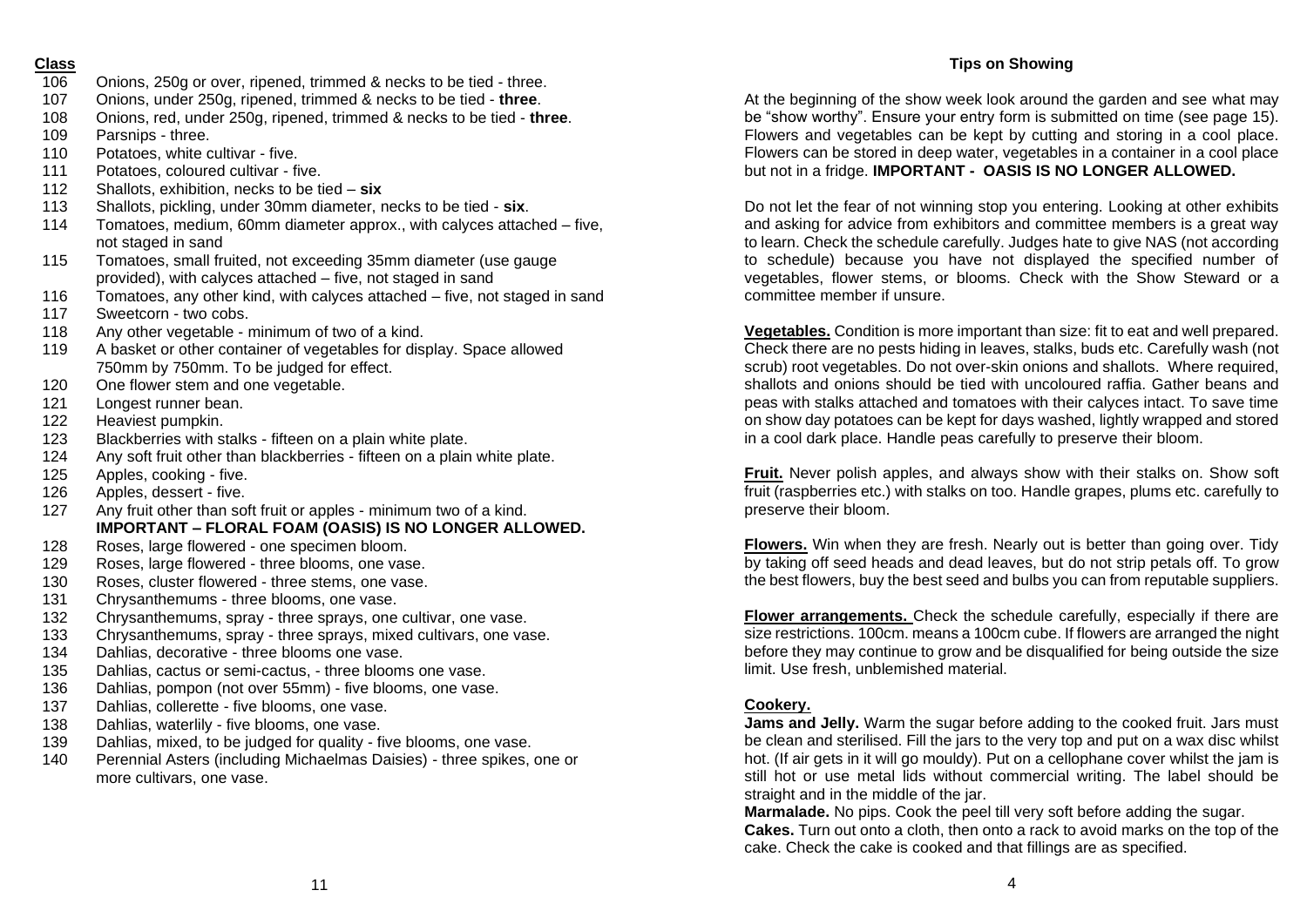#### **Class**

- 106 Onions, 250g or over, ripened, trimmed & necks to be tied three.
- 107 Onions, under 250g, ripened, trimmed & necks to be tied **three**.
- 108 Onions, red, under 250g, ripened, trimmed & necks to be tied **three**.
- 109 Parsnips three.
- 110 Potatoes, white cultivar five.
- 111 Potatoes, coloured cultivar five.
- 112 Shallots, exhibition, necks to be tied **six**
- 113 Shallots, pickling, under 30mm diameter, necks to be tied **six**.
- 114 Tomatoes, medium, 60mm diameter approx., with calyces attached five, not staged in sand
- 115 Tomatoes, small fruited, not exceeding 35mm diameter (use gauge provided), with calyces attached – five, not staged in sand
- 116 Tomatoes, any other kind, with calyces attached five, not staged in sand
- 117 Sweetcorn two cobs.
- 118 Any other vegetable minimum of two of a kind.
- 119 A basket or other container of vegetables for display. Space allowed 750mm by 750mm. To be judged for effect.
- 120 One flower stem and one vegetable.
- 121 Longest runner bean.
- 122 Heaviest pumpkin.
- 123 Blackberries with stalks fifteen on a plain white plate.
- 124 Any soft fruit other than blackberries fifteen on a plain white plate.
- 125 Apples, cooking five.
- 126 Apples, dessert five.
- 127 Any fruit other than soft fruit or apples minimum two of a kind. **IMPORTANT – FLORAL FOAM (OASIS) IS NO LONGER ALLOWED.**
- 128 Roses, large flowered one specimen bloom.
- 129 Roses, large flowered three blooms, one vase.
- 130 Roses, cluster flowered three stems, one vase.
- 131 Chrysanthemums three blooms, one vase.
- 132 Chrysanthemums, spray three sprays, one cultivar, one vase.
- 133 Chrysanthemums, spray three sprays, mixed cultivars, one vase.
- 134 Dahlias, decorative three blooms one vase.
- 135 Dahlias, cactus or semi-cactus, three blooms one vase.
- 136 Dahlias, pompon (not over 55mm) five blooms, one vase.
- 137 Dahlias, collerette five blooms, one vase.
- 138 Dahlias, waterlily five blooms, one vase.
- 139 Dahlias, mixed, to be judged for quality five blooms, one vase.
- 140 Perennial Asters (including Michaelmas Daisies) three spikes, one or more cultivars, one vase.

### **Tips on Showing**

At the beginning of the show week look around the garden and see what may be "show worthy". Ensure your entry form is submitted on time (see page 15). Flowers and vegetables can be kept by cutting and storing in a cool place. Flowers can be stored in deep water, vegetables in a container in a cool place but not in a fridge. **IMPORTANT - OASIS IS NO LONGER ALLOWED.**

Do not let the fear of not winning stop you entering. Looking at other exhibits and asking for advice from exhibitors and committee members is a great way to learn. Check the schedule carefully. Judges hate to give NAS (not according to schedule) because you have not displayed the specified number of vegetables, flower stems, or blooms. Check with the Show Steward or a committee member if unsure.

**Vegetables.** Condition is more important than size: fit to eat and well prepared. Check there are no pests hiding in leaves, stalks, buds etc. Carefully wash (not scrub) root vegetables. Do not over-skin onions and shallots. Where required, shallots and onions should be tied with uncoloured raffia. Gather beans and peas with stalks attached and tomatoes with their calyces intact. To save time on show day potatoes can be kept for days washed, lightly wrapped and stored in a cool dark place. Handle peas carefully to preserve their bloom.

**Fruit.** Never polish apples, and always show with their stalks on. Show soft fruit (raspberries etc.) with stalks on too. Handle grapes, plums etc. carefully to preserve their bloom.

**Flowers.** Win when they are fresh. Nearly out is better than going over. Tidy by taking off seed heads and dead leaves, but do not strip petals off. To grow the best flowers, buy the best seed and bulbs you can from reputable suppliers.

**Flower arrangements.** Check the schedule carefully, especially if there are size restrictions. 100cm. means a 100cm cube. If flowers are arranged the night before they may continue to grow and be disqualified for being outside the size limit. Use fresh, unblemished material.

#### **Cookery.**

**Jams and Jelly.** Warm the sugar before adding to the cooked fruit. Jars must be clean and sterilised. Fill the jars to the very top and put on a wax disc whilst hot. (If air gets in it will go mouldy). Put on a cellophane cover whilst the jam is still hot or use metal lids without commercial writing. The label should be straight and in the middle of the jar.

**Marmalade.** No pips. Cook the peel till very soft before adding the sugar. **Cakes.** Turn out onto a cloth, then onto a rack to avoid marks on the top of the cake. Check the cake is cooked and that fillings are as specified.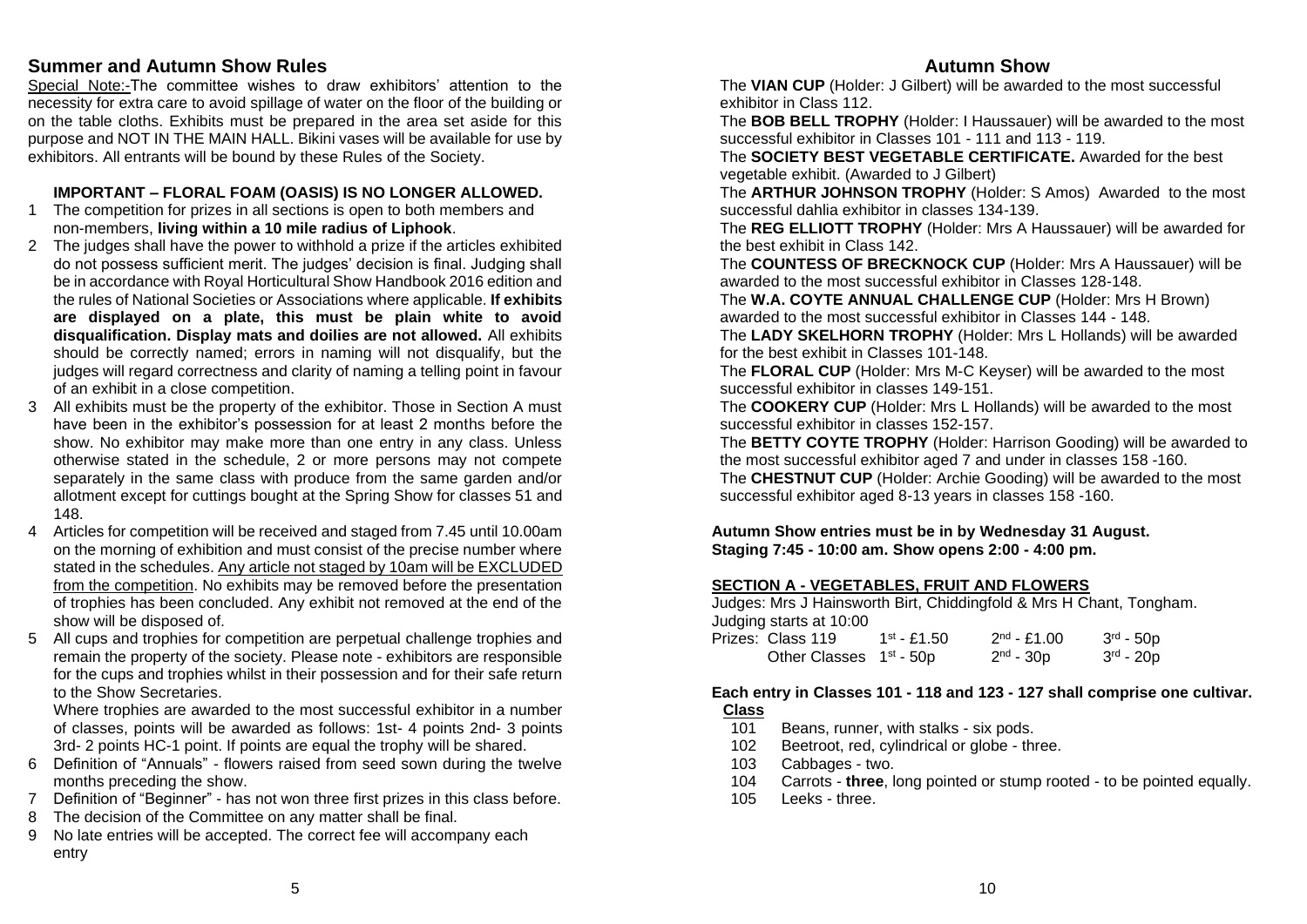# **Summer and Autumn Show Rules**

Special Note:-The committee wishes to draw exhibitors' attention to the necessity for extra care to avoid spillage of water on the floor of the building or on the table cloths. Exhibits must be prepared in the area set aside for this purpose and NOT IN THE MAIN HALL. Bikini vases will be available for use by exhibitors. All entrants will be bound by these Rules of the Society.

#### **IMPORTANT – FLORAL FOAM (OASIS) IS NO LONGER ALLOWED.**

- 1 The competition for prizes in all sections is open to both members and non-members, **living within a 10 mile radius of Liphook**.
- 2 The judges shall have the power to withhold a prize if the articles exhibited do not possess sufficient merit. The judges' decision is final. Judging shall be in accordance with Royal Horticultural Show Handbook 2016 edition and the rules of National Societies or Associations where applicable. **If exhibits are displayed on a plate, this must be plain white to avoid disqualification. Display mats and doilies are not allowed.** All exhibits should be correctly named; errors in naming will not disqualify, but the judges will regard correctness and clarity of naming a telling point in favour of an exhibit in a close competition.
- 3 All exhibits must be the property of the exhibitor. Those in Section A must have been in the exhibitor's possession for at least 2 months before the show. No exhibitor may make more than one entry in any class. Unless otherwise stated in the schedule, 2 or more persons may not compete separately in the same class with produce from the same garden and/or allotment except for cuttings bought at the Spring Show for classes 51 and 148.
- 4 Articles for competition will be received and staged from 7.45 until 10.00am on the morning of exhibition and must consist of the precise number where stated in the schedules. Any article not staged by 10am will be EXCLUDED from the competition. No exhibits may be removed before the presentation of trophies has been concluded. Any exhibit not removed at the end of the show will be disposed of.
- 5 All cups and trophies for competition are perpetual challenge trophies and remain the property of the society. Please note - exhibitors are responsible for the cups and trophies whilst in their possession and for their safe return to the Show Secretaries.

Where trophies are awarded to the most successful exhibitor in a number of classes, points will be awarded as follows: 1st- 4 points 2nd- 3 points 3rd- 2 points HC-1 point. If points are equal the trophy will be shared.

- 6 Definition of "Annuals" flowers raised from seed sown during the twelve months preceding the show.
- 7 Definition of "Beginner" has not won three first prizes in this class before.
- 8 The decision of the Committee on any matter shall be final.
- 9 No late entries will be accepted. The correct fee will accompany each entry

## **Autumn Show**

The **VIAN CUP** (Holder: J Gilbert) will be awarded to the most successful exhibitor in Class 112.

The **BOB BELL TROPHY** (Holder: I Haussauer) will be awarded to the most successful exhibitor in Classes 101 - 111 and 113 - 119.

The **SOCIETY BEST VEGETABLE CERTIFICATE.** Awarded for the best vegetable exhibit. (Awarded to J Gilbert)

The **ARTHUR JOHNSON TROPHY** (Holder: S Amos) Awarded to the most successful dahlia exhibitor in classes 134-139.

The **REG ELLIOTT TROPHY** (Holder: Mrs A Haussauer) will be awarded for the best exhibit in Class 142.

The **COUNTESS OF BRECKNOCK CUP** (Holder: Mrs A Haussauer) will be awarded to the most successful exhibitor in Classes 128-148.

The **W.A. COYTE ANNUAL CHALLENGE CUP** (Holder: Mrs H Brown) awarded to the most successful exhibitor in Classes 144 - 148.

The **LADY SKELHORN TROPHY** (Holder: Mrs L Hollands) will be awarded for the best exhibit in Classes 101-148.

The **FLORAL CUP** (Holder: Mrs M-C Keyser) will be awarded to the most successful exhibitor in classes 149-151.

The **COOKERY CUP** (Holder: Mrs L Hollands) will be awarded to the most successful exhibitor in classes 152-157.

The **BETTY COYTE TROPHY** (Holder: Harrison Gooding) will be awarded to the most successful exhibitor aged 7 and under in classes 158 -160.

The **CHESTNUT CUP** (Holder: Archie Gooding) will be awarded to the most successful exhibitor aged 8-13 years in classes 158 -160.

**Autumn Show entries must be in by Wednesday 31 August. Staging 7:45 - 10:00 am. Show opens 2:00 - 4:00 pm.**

#### **SECTION A - VEGETABLES, FRUIT AND FLOWERS**

Judges: Mrs J Hainsworth Birt, Chiddingfold & Mrs H Chant, Tongham. Judging starts at 10:00

| Prizes: Class 119                   | $1^{st}$ - £1.50 | $2^{nd} - £1.00$ | $3rd - 50p$ |
|-------------------------------------|------------------|------------------|-------------|
| Other Classes 1 <sup>st</sup> - 50p |                  | $2nd - 30p$      | $3rd - 20p$ |

### **Each entry in Classes 101 - 118 and 123 - 127 shall comprise one cultivar. Class**

- 101 Beans, runner, with stalks six pods.
- 102 Beetroot, red, cylindrical or globe three.
- 103 Cabbages two.
- 104 Carrots **three**, long pointed or stump rooted to be pointed equally.
- 105 Leeks three.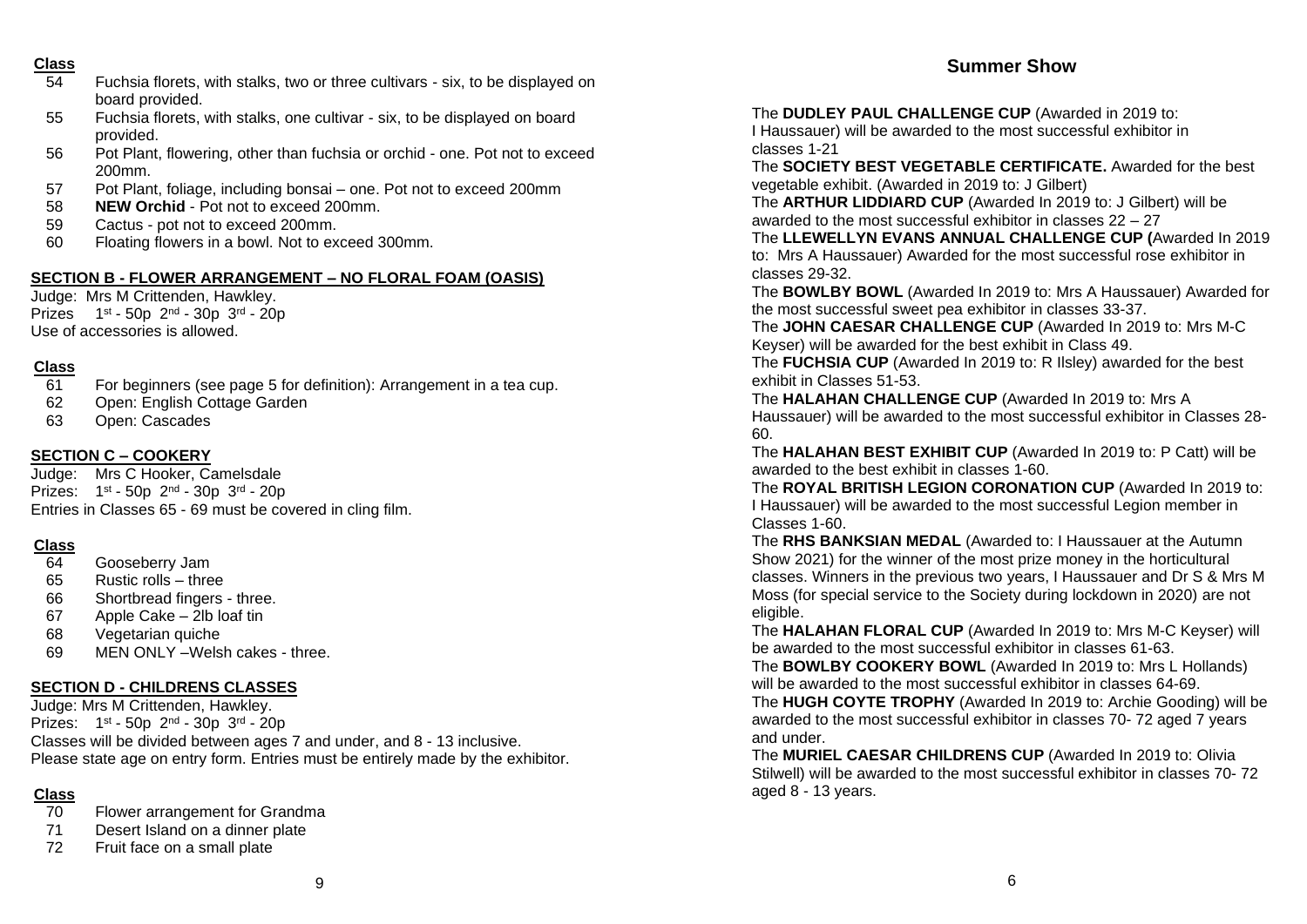#### **Class**

- 54 Fuchsia florets, with stalks, two or three cultivars six, to be displayed on board provided.
- 55 Fuchsia florets, with stalks, one cultivar six, to be displayed on board provided.
- 56 Pot Plant, flowering, other than fuchsia or orchid one. Pot not to exceed 200mm.
- 57 Pot Plant, foliage, including bonsai one. Pot not to exceed 200mm
- 58 **NEW Orchid** Pot not to exceed 200mm.
- 59 Cactus pot not to exceed 200mm.
- 60 Floating flowers in a bowl. Not to exceed 300mm.

# **SECTION B - FLOWER ARRANGEMENT – NO FLORAL FOAM (OASIS)**

Judge: Mrs M Crittenden, Hawkley. Prizes 1st - 50p 2nd - 30p 3rd - 20p Use of accessories is allowed.

# **Class**

- 61 For beginners (see page 5 for definition): Arrangement in a tea cup.
- 62 Open: English Cottage Garden
- 63 Open: Cascades

# **SECTION C – COOKERY**

Judge: Mrs C Hooker, Camelsdale Prizes: 1st - 50p 2<sup>nd</sup> - 30p 3<sup>rd</sup> - 20p Entries in Classes 65 - 69 must be covered in cling film.

# **Class**

- 64 Gooseberry Jam
- 65 Rustic rolls three
- 66 Shortbread fingers three.
- 67 Apple Cake 2lb loaf tin
- 68 Vegetarian quiche
- 69 MEN ONLY –Welsh cakes three.

# **SECTION D - CHILDRENS CLASSES**

Judge: Mrs M Crittenden, Hawkley. Prizes: 1st - 50p 2<sup>nd</sup> - 30p 3<sup>rd</sup> - 20p Classes will be divided between ages 7 and under, and 8 - 13 inclusive. Please state age on entry form. Entries must be entirely made by the exhibitor.

# **Class**

- 70 Flower arrangement for Grandma
- 71 Desert Island on a dinner plate
- 72 Fruit face on a small plate

The **DUDLEY PAUL CHALLENGE CUP** (Awarded in 2019 to: I Haussauer) will be awarded to the most successful exhibitor in classes 1-21

The **SOCIETY BEST VEGETABLE CERTIFICATE.** Awarded for the best vegetable exhibit. (Awarded in 2019 to: J Gilbert)

The **ARTHUR LIDDIARD CUP** (Awarded In 2019 to: J Gilbert) will be awarded to the most successful exhibitor in classes 22 – 27

The **LLEWELLYN EVANS ANNUAL CHALLENGE CUP (**Awarded In 2019 to: Mrs A Haussauer) Awarded for the most successful rose exhibitor in classes 29-32.

The **BOWLBY BOWL** (Awarded In 2019 to: Mrs A Haussauer) Awarded for the most successful sweet pea exhibitor in classes 33-37.

The **JOHN CAESAR CHALLENGE CUP** (Awarded In 2019 to: Mrs M-C Keyser) will be awarded for the best exhibit in Class 49.

The **FUCHSIA CUP** (Awarded In 2019 to: R Ilsley) awarded for the best exhibit in Classes 51-53.

The **HALAHAN CHALLENGE CUP** (Awarded In 2019 to: Mrs A Haussauer) will be awarded to the most successful exhibitor in Classes 28- 60.

The **HALAHAN BEST EXHIBIT CUP** (Awarded In 2019 to: P Catt) will be awarded to the best exhibit in classes 1-60.

The **ROYAL BRITISH LEGION CORONATION CUP** (Awarded In 2019 to: I Haussauer) will be awarded to the most successful Legion member in Classes 1-60.

The **RHS BANKSIAN MEDAL** (Awarded to: I Haussauer at the Autumn Show 2021) for the winner of the most prize money in the horticultural classes. Winners in the previous two years, I Haussauer and Dr S & Mrs M Moss (for special service to the Society during lockdown in 2020) are not eligible.

The **HALAHAN FLORAL CUP** (Awarded In 2019 to: Mrs M-C Keyser) will be awarded to the most successful exhibitor in classes 61-63.

The **BOWLBY COOKERY BOWL** (Awarded In 2019 to: Mrs L Hollands) will be awarded to the most successful exhibitor in classes 64-69. The **HUGH COYTE TROPHY** (Awarded In 2019 to: Archie Gooding) will be awarded to the most successful exhibitor in classes 70- 72 aged 7 years and under.

The **MURIEL CAESAR CHILDRENS CUP** (Awarded In 2019 to: Olivia Stilwell) will be awarded to the most successful exhibitor in classes 70- 72 aged 8 - 13 years.

# **Summer Show**